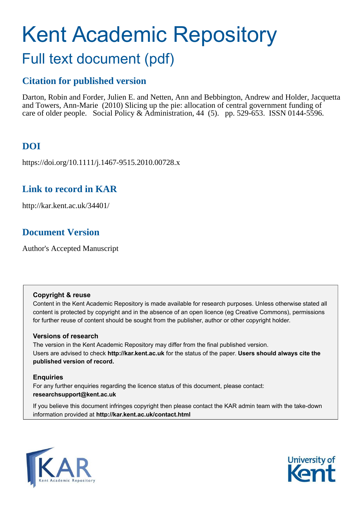# Kent Academic Repository

## Full text document (pdf)

## **Citation for published version**

Darton, Robin and Forder, Julien E. and Netten, Ann and Bebbington, Andrew and Holder, Jacquetta and Towers, Ann-Marie (2010) Slicing up the pie: allocation of central government funding of care of older people. Social Policy & Administration, 44 (5). pp. 529-653. ISSN 0144-5596.

## **DOI**

https://doi.org/10.1111/j.1467-9515.2010.00728.x

## **Link to record in KAR**

http://kar.kent.ac.uk/34401/

## **Document Version**

Author's Accepted Manuscript

#### **Copyright & reuse**

Content in the Kent Academic Repository is made available for research purposes. Unless otherwise stated all content is protected by copyright and in the absence of an open licence (eg Creative Commons), permissions for further reuse of content should be sought from the publisher, author or other copyright holder.

#### **Versions of research**

The version in the Kent Academic Repository may differ from the final published version. Users are advised to check **http://kar.kent.ac.uk** for the status of the paper. **Users should always cite the published version of record.**

#### **Enquiries**

For any further enquiries regarding the licence status of this document, please contact: **researchsupport@kent.ac.uk**

If you believe this document infringes copyright then please contact the KAR admin team with the take-down information provided at **http://kar.kent.ac.uk/contact.html**



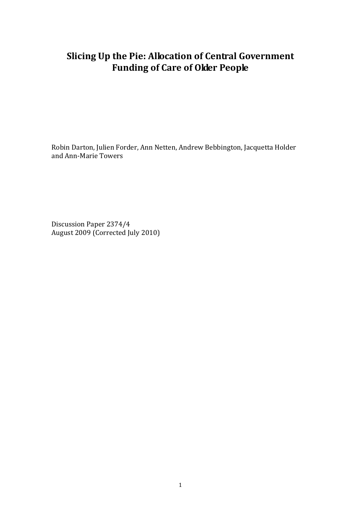## **Slicing Up the Pie: Allocation of Central Government Funding of Care of Older People**

Robin Darton, Julien Forder, Ann Netten, Andrew Bebbington, Jacquetta Holder and Ann-Marie Towers

Discussion Paper 2374/4 August 2009 (Corrected July 2010)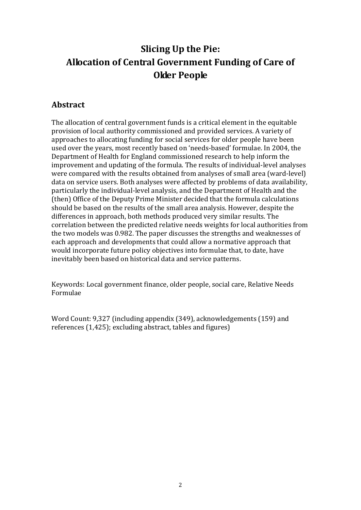## **Slicing Up the Pie: Allocation of Central Government Funding of Care of Older People**

## **Abstract**

The allocation of central government funds is a critical element in the equitable provision of local authority commissioned and provided services. A variety of approaches to allocating funding for social services for older people have been used over the years, most recently based on 'needs-based' formulae. In 2004, the Department of Health for England commissioned research to help inform the improvement and updating of the formula. The results of individual-level analyses were compared with the results obtained from analyses of small area (ward-level) data on service users. Both analyses were affected by problems of data availability, particularly the individual-level analysis, and the Department of Health and the (then) Office of the Deputy Prime Minister decided that the formula calculations should be based on the results of the small area analysis. However, despite the differences in approach, both methods produced very similar results. The correlation between the predicted relative needs weights for local authorities from the two models was 0.982. The paper discusses the strengths and weaknesses of each approach and developments that could allow a normative approach that would incorporate future policy objectives into formulae that, to date, have inevitably been based on historical data and service patterns.

Keywords: Local government finance, older people, social care, Relative Needs Formulae

Word Count: 9,327 (including appendix (349), acknowledgements (159) and references (1,425); excluding abstract, tables and figures)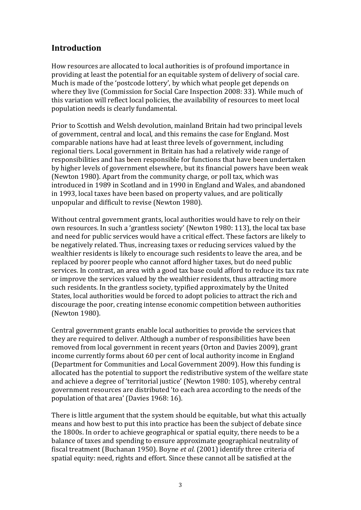## **Introduction**

How resources are allocated to local authorities is of profound importance in providing at least the potential for an equitable system of delivery of social care. Much is made of the 'postcode lottery', by which what people get depends on where they live (Commission for Social Care Inspection 2008: 33). While much of this variation will reflect local policies, the availability of resources to meet local population needs is clearly fundamental.

Prior to Scottish and Welsh devolution, mainland Britain had two principal levels of government, central and local, and this remains the case for England. Most comparable nations have had at least three levels of government, including regional tiers. Local government in Britain has had a relatively wide range of responsibilities and has been responsible for functions that have been undertaken by higher levels of government elsewhere, but its financial powers have been weak (Newton 1980). Apart from the community charge, or poll tax, which was introduced in 1989 in Scotland and in 1990 in England and Wales, and abandoned in 1993, local taxes have been based on property values, and are politically unpopular and difficult to revise (Newton 1980).

Without central government grants, local authorities would have to rely on their own resources. In such a 'grantless society' (Newton 1980: 113), the local tax base and need for public services would have a critical effect. These factors are likely to be negatively related. Thus, increasing taxes or reducing services valued by the wealthier residents is likely to encourage such residents to leave the area, and be replaced by poorer people who cannot afford higher taxes, but do need public services. In contrast, an area with a good tax base could afford to reduce its tax rate or improve the services valued by the wealthier residents, thus attracting more such residents. In the grantless society, typified approximately by the United States, local authorities would be forced to adopt policies to attract the rich and discourage the poor, creating intense economic competition between authorities (Newton 1980).

Central government grants enable local authorities to provide the services that they are required to deliver. Although a number of responsibilities have been removed from local government in recent years (Orton and Davies 2009), grant income currently forms about 60 per cent of local authority income in England (Department for Communities and Local Government 2009). How this funding is allocated has the potential to support the redistributive system of the welfare state and achieve a degree of 'territorial justice' (Newton 1980: 105), whereby central government resources are distributed 'to each area according to the needs of the population of that area' (Davies 1968: 16).

There is little argument that the system should be equitable, but what this actually means and how best to put this into practice has been the subject of debate since the 1800s. In order to achieve geographical or spatial equity, there needs to be a balance of taxes and spending to ensure approximate geographical neutrality of fiscal treatment (Buchanan 1950). Boyne *et al.* (2001) identify three criteria of spatial equity: need, rights and effort. Since these cannot all be satisfied at the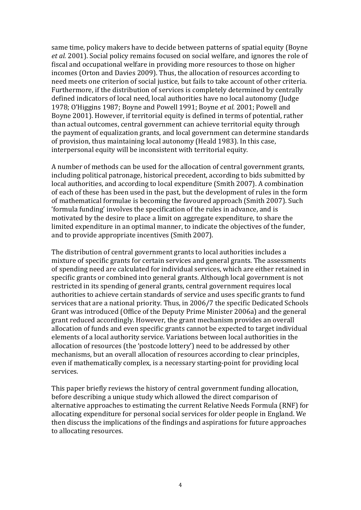same time, policy makers have to decide between patterns of spatial equity (Boyne *et al.* 2001). Social policy remains focused on social welfare, and ignores the role of fiscal and occupational welfare in providing more resources to those on higher incomes (Orton and Davies 2009). Thus, the allocation of resources according to need meets one criterion of social justice, but fails to take account of other criteria. Furthermore, if the distribution of services is completely determined by centrally defined indicators of local need, local authorities have no local autonomy (Judge 1978; O'Higgins 1987; Boyne and Powell 1991; Boyne *et al.* 2001; Powell and Boyne 2001). However, if territorial equity is defined in terms of potential, rather than actual outcomes, central government can achieve territorial equity through the payment of equalization grants, and local government can determine standards of provision, thus maintaining local autonomy (Heald 1983). In this case, interpersonal equity will be inconsistent with territorial equity.

A number of methods can be used for the allocation of central government grants, including political patronage, historical precedent, according to bids submitted by local authorities, and according to local expenditure (Smith 2007). A combination of each of these has been used in the past, but the development of rules in the form of mathematical formulae is becoming the favoured approach (Smith 2007). Such 'formula funding' involves the specification of the rules in advance, and is motivated by the desire to place a limit on aggregate expenditure, to share the limited expenditure in an optimal manner, to indicate the objectives of the funder, and to provide appropriate incentives (Smith 2007).

The distribution of central government grants to local authorities includes a mixture of specific grants for certain services and general grants. The assessments of spending need are calculated for individual services, which are either retained in specific grants or combined into general grants. Although local government is not restricted in its spending of general grants, central government requires local authorities to achieve certain standards of service and uses specific grants to fund services that are a national priority. Thus, in 2006/7 the specific Dedicated Schools Grant was introduced (Office of the Deputy Prime Minister 2006a) and the general grant reduced accordingly. However, the grant mechanism provides an overall allocation of funds and even specific grants cannot be expected to target individual elements of a local authority service. Variations between local authorities in the allocation of resources (the 'postcode lottery') need to be addressed by other mechanisms, but an overall allocation of resources according to clear principles, even if mathematically complex, is a necessary starting-point for providing local services.

This paper briefly reviews the history of central government funding allocation, before describing a unique study which allowed the direct comparison of alternative approaches to estimating the current Relative Needs Formula (RNF) for allocating expenditure for personal social services for older people in England. We then discuss the implications of the findings and aspirations for future approaches to allocating resources.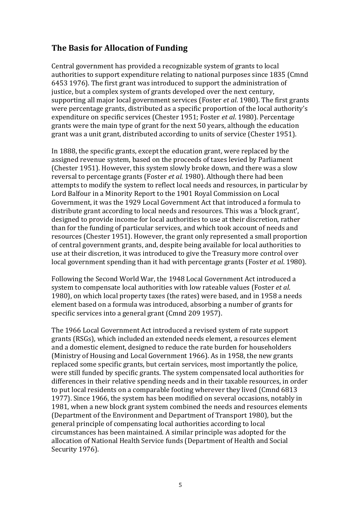## **The Basis for Allocation of Funding**

Central government has provided a recognizable system of grants to local authorities to support expenditure relating to national purposes since 1835 (Cmnd 6453 1976). The first grant was introduced to support the administration of justice, but a complex system of grants developed over the next century, supporting all major local government services (Foster *et al*. 1980). The first grants were percentage grants, distributed as a specific proportion of the local authority's expenditure on specific services (Chester 1951; Foster *et al*. 1980). Percentage grants were the main type of grant for the next 50 years, although the education grant was a unit grant, distributed according to units of service (Chester 1951).

In 1888, the specific grants, except the education grant, were replaced by the assigned revenue system, based on the proceeds of taxes levied by Parliament (Chester 1951). However, this system slowly broke down, and there was a slow reversal to percentage grants (Foster *et al*. 1980). Although there had been attempts to modify the system to reflect local needs and resources, in particular by Lord Balfour in a Minority Report to the 1901 Royal Commission on Local Government, it was the 1929 Local Government Act that introduced a formula to distribute grant according to local needs and resources. This was a 'block grant', designed to provide income for local authorities to use at their discretion, rather than for the funding of particular services, and which took account of needs and resources (Chester 1951). However, the grant only represented a small proportion of central government grants, and, despite being available for local authorities to use at their discretion, it was introduced to give the Treasury more control over local government spending than it had with percentage grants (Foster *et al*. 1980).

Following the Second World War, the 1948 Local Government Act introduced a system to compensate local authorities with low rateable values (Foster *et al*. 1980), on which local property taxes (the rates) were based, and in 1958 a needs element based on a formula was introduced, absorbing a number of grants for specific services into a general grant (Cmnd 209 1957).

The 1966 Local Government Act introduced a revised system of rate support grants (RSGs), which included an extended needs element, a resources element and a domestic element, designed to reduce the rate burden for householders (Ministry of Housing and Local Government 1966). As in 1958, the new grants replaced some specific grants, but certain services, most importantly the police, were still funded by specific grants. The system compensated local authorities for differences in their relative spending needs and in their taxable resources, in order to put local residents on a comparable footing wherever they lived (Cmnd 6813 1977). Since 1966, the system has been modified on several occasions, notably in 1981, when a new block grant system combined the needs and resources elements (Department of the Environment and Department of Transport 1980), but the general principle of compensating local authorities according to local circumstances has been maintained. A similar principle was adopted for the allocation of National Health Service funds (Department of Health and Social Security 1976).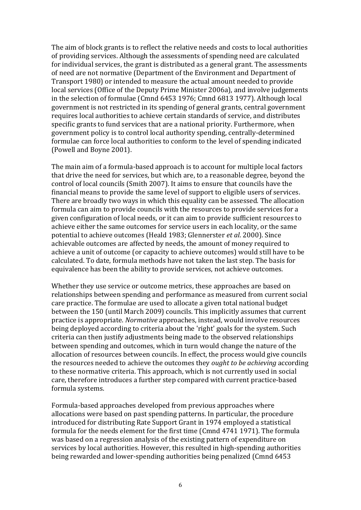The aim of block grants is to reflect the relative needs and costs to local authorities of providing services. Although the assessments of spending need are calculated for individual services, the grant is distributed as a general grant. The assessments of need are not normative (Department of the Environment and Department of Transport 1980) or intended to measure the actual amount needed to provide local services (Office of the Deputy Prime Minister 2006a), and involve judgements in the selection of formulae (Cmnd 6453 1976; Cmnd 6813 1977). Although local government is not restricted in its spending of general grants, central government requires local authorities to achieve certain standards of service, and distributes specific grants to fund services that are a national priority. Furthermore, when government policy is to control local authority spending, centrally-determined formulae can force local authorities to conform to the level of spending indicated (Powell and Boyne 2001).

The main aim of a formula-based approach is to account for multiple local factors that drive the need for services, but which are, to a reasonable degree, beyond the control of local councils (Smith 2007). It aims to ensure that councils have the financial means to provide the same level of support to eligible users of services. There are broadly two ways in which this equality can be assessed. The allocation formula can aim to provide councils with the resources to provide services for a given configuration of local needs, or it can aim to provide sufficient resources to achieve either the same outcomes for service users in each locality, or the same potential to achieve outcomes (Heald 1983; Glennerster *et al*. 2000). Since achievable outcomes are affected by needs, the amount of money required to achieve a unit of outcome (or capacity to achieve outcomes) would still have to be calculated. To date, formula methods have not taken the last step. The basis for equivalence has been the ability to provide services, not achieve outcomes.

Whether they use service or outcome metrics, these approaches are based on relationships between spending and performance as measured from current social care practice. The formulae are used to allocate a given total national budget between the 150 (until March 2009) councils. This implicitly assumes that current practice is appropriate. *Normative* approaches, instead, would involve resources being deployed according to criteria about the 'right' goals for the system. Such criteria can then justify adjustments being made to the observed relationships between spending and outcomes, which in turn would change the nature of the allocation of resources between councils. In effect, the process would give councils the resources needed to achieve the outcomes they *ought to be achieving* according to these normative criteria. This approach, which is not currently used in social care, therefore introduces a further step compared with current practice-based formula systems.

Formula-based approaches developed from previous approaches where allocations were based on past spending patterns. In particular, the procedure introduced for distributing Rate Support Grant in 1974 employed a statistical formula for the needs element for the first time (Cmnd 4741 1971). The formula was based on a regression analysis of the existing pattern of expenditure on services by local authorities. However, this resulted in high-spending authorities being rewarded and lower-spending authorities being penalized (Cmnd 6453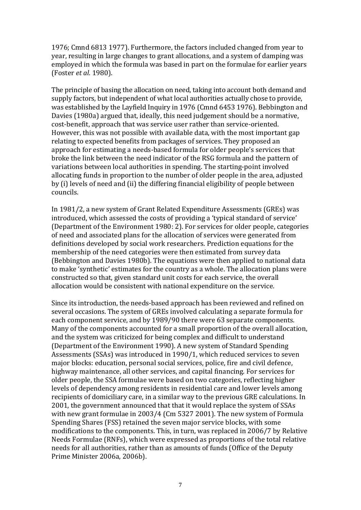1976; Cmnd 6813 1977). Furthermore, the factors included changed from year to year, resulting in large changes to grant allocations, and a system of damping was employed in which the formula was based in part on the formulae for earlier years (Foster *et al*. 1980).

The principle of basing the allocation on need, taking into account both demand and supply factors, but independent of what local authorities actually chose to provide, was established by the Layfield Inquiry in 1976 (Cmnd 6453 1976). Bebbington and Davies (1980a) argued that, ideally, this need judgement should be a normative, cost-benefit, approach that was service user rather than service-oriented. However, this was not possible with available data, with the most important gap relating to expected benefits from packages of services. They proposed an approach for estimating a needs-based formula for older people's services that broke the link between the need indicator of the RSG formula and the pattern of variations between local authorities in spending. The starting-point involved allocating funds in proportion to the number of older people in the area, adjusted by (i) levels of need and (ii) the differing financial eligibility of people between councils.

In 1981/2, a new system of Grant Related Expenditure Assessments (GREs) was introduced, which assessed the costs of providing a 'typical standard of service' (Department of the Environment 1980: 2). For services for older people, categories of need and associated plans for the allocation of services were generated from definitions developed by social work researchers. Prediction equations for the membership of the need categories were then estimated from survey data (Bebbington and Davies 1980b). The equations were then applied to national data to make 'synthetic' estimates for the country as a whole. The allocation plans were constructed so that, given standard unit costs for each service, the overall allocation would be consistent with national expenditure on the service.

Since its introduction, the needs-based approach has been reviewed and refined on several occasions. The system of GREs involved calculating a separate formula for each component service, and by 1989/90 there were 63 separate components. Many of the components accounted for a small proportion of the overall allocation, and the system was criticized for being complex and difficult to understand (Department of the Environment 1990). A new system of Standard Spending Assessments (SSAs) was introduced in 1990/1, which reduced services to seven major blocks: education, personal social services, police, fire and civil defence, highway maintenance, all other services, and capital financing. For services for older people, the SSA formulae were based on two categories, reflecting higher levels of dependency among residents in residential care and lower levels among recipients of domiciliary care, in a similar way to the previous GRE calculations. In 2001, the government announced that that it would replace the system of SSAs with new grant formulae in 2003/4 (Cm 5327 2001). The new system of Formula Spending Shares (FSS) retained the seven major service blocks, with some modifications to the components. This, in turn, was replaced in 2006/7 by Relative Needs Formulae (RNFs), which were expressed as proportions of the total relative needs for all authorities, rather than as amounts of funds (Office of the Deputy Prime Minister 2006a, 2006b).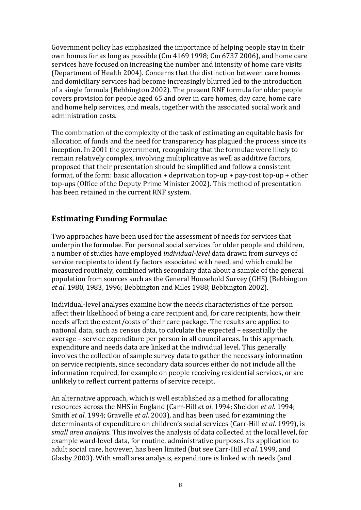Government policy has emphasized the importance of helping people stay in their own homes for as long as possible (Cm 4169 1998; Cm 6737 2006), and home care services have focused on increasing the number and intensity of home care visits (Department of Health 2004). Concerns that the distinction between care homes and domiciliary services had become increasingly blurred led to the introduction of a single formula (Bebbington 2002). The present RNF formula for older people covers provision for people aged 65 and over in care homes, day care, home care and home help services, and meals, together with the associated social work and administration costs.

The combination of the complexity of the task of estimating an equitable basis for allocation of funds and the need for transparency has plagued the process since its inception. In 2001 the government, recognizing that the formulae were likely to remain relatively complex, involving multiplicative as well as additive factors, proposed that their presentation should be simplified and follow a consistent format, of the form: basic allocation + deprivation top-up + pay-cost top-up + other top-ups (Office of the Deputy Prime Minister 2002). This method of presentation has been retained in the current RNF system.

### **Estimating Funding Formulae**

Two approaches have been used for the assessment of needs for services that underpin the formulae. For personal social services for older people and children, a number of studies have employed *individual-level* data drawn from surveys of service recipients to identify factors associated with need, and which could be measured routinely, combined with secondary data about a sample of the general population from sources such as the General Household Survey (GHS) (Bebbington *et al*. 1980, 1983, 1996; Bebbington and Miles 1988; Bebbington 2002).

Individual-level analyses examine how the needs characteristics of the person affect their likelihood of being a care recipient and, for care recipients, how their needs affect the extent/costs of their care package. The results are applied to national data, such as census data, to calculate the expected – essentially the average ‒ service expenditure per person in all council areas. In this approach, expenditure and needs data are linked at the individual level. This generally involves the collection of sample survey data to gather the necessary information on service recipients, since secondary data sources either do not include all the information required, for example on people receiving residential services, or are unlikely to reflect current patterns of service receipt.

An alternative approach, which is well established as a method for allocating resources across the NHS in England (Carr-Hill *et al*. 1994; Sheldon *et al*. 1994; Smith *et al*. 1994; Gravelle *et al*. 2003), and has been used for examining the determinants of expenditure on children's social services (Carr-Hill *et al.* 1999), is *small area analysis*. This involves the analysis of data collected at the local level, for example ward-level data, for routine, administrative purposes. Its application to adult social care, however, has been limited (but see Carr-Hill *et al*. 1999, and Glasby 2003). With small area analysis, expenditure is linked with needs (and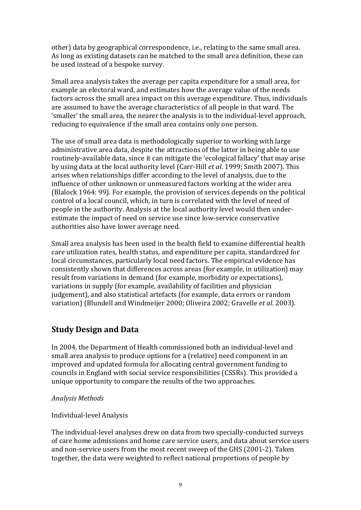other) data by geographical correspondence, i.e., relating to the same small area. As long as existing datasets can be matched to the small area definition, these can be used instead of a bespoke survey.

Small area analysis takes the average per capita expenditure for a small area, for example an electoral ward, and estimates how the average value of the needs factors across the small area impact on this average expenditure. Thus, individuals are assumed to have the average characteristics of all people in that ward. The 'smaller' the small area, the nearer the analysis is to the individual-level approach, reducing to equivalence if the small area contains only one person.

The use of small area data is methodologically superior to working with large administrative area data, despite the attractions of the latter in being able to use routinely-available data, since it can mitigate the 'ecological fallacy' that may arise by using data at the local authority level (Carr-Hill *et al*. 1999; Smith 2007). This arises when relationships differ according to the level of analysis, due to the influence of other unknown or unmeasured factors working at the wider area (Blalock 1964: 99). For example, the provision of services depends on the political control of a local council, which, in turn is correlated with the level of need of people in the authority. Analysis at the local authority level would then underestimate the impact of need on service use since low-service conservative authorities also have lower average need.

Small area analysis has been used in the health field to examine differential health care utilization rates, health status, and expenditure per capita, standardized for local circumstances, particularly local need factors. The empirical evidence has consistently shown that differences across areas (for example, in utilization) may result from variations in demand (for example, morbidity or expectations), variations in supply (for example, availability of facilities and physician judgement), and also statistical artefacts (for example, data errors or random variation) (Blundell and Windmeijer 2000; Oliveira 2002; Gravelle *et al*. 2003).

## **Study Design and Data**

In 2004, the Department of Health commissioned both an individual-level and small area analysis to produce options for a (relative) need component in an improved and updated formula for allocating central government funding to councils in England with social service responsibilities (CSSRs). This provided a unique opportunity to compare the results of the two approaches.

#### *Analysis Methods*

#### Individual-level Analysis

The individual-level analyses drew on data from two specially-conducted surveys of care home admissions and home care service users, and data about service users and non-service users from the most recent sweep of the GHS (2001-2). Taken together, the data were weighted to reflect national proportions of people by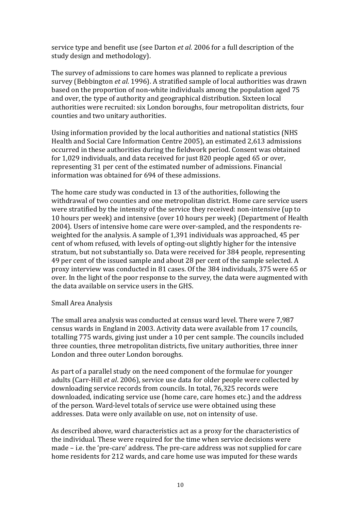service type and benefit use (see Darton *et al*. 2006 for a full description of the study design and methodology).

The survey of admissions to care homes was planned to replicate a previous survey (Bebbington *et al*. 1996). A stratified sample of local authorities was drawn based on the proportion of non-white individuals among the population aged 75 and over, the type of authority and geographical distribution. Sixteen local authorities were recruited: six London boroughs, four metropolitan districts, four counties and two unitary authorities.

Using information provided by the local authorities and national statistics (NHS Health and Social Care Information Centre 2005), an estimated 2,613 admissions occurred in these authorities during the fieldwork period. Consent was obtained for 1,029 individuals, and data received for just 820 people aged 65 or over, representing 31 per cent of the estimated number of admissions. Financial information was obtained for 694 of these admissions.

The home care study was conducted in 13 of the authorities, following the withdrawal of two counties and one metropolitan district. Home care service users were stratified by the intensity of the service they received: non-intensive (up to 10 hours per week) and intensive (over 10 hours per week) (Department of Health 2004). Users of intensive home care were over-sampled, and the respondents reweighted for the analysis. A sample of 1,391 individuals was approached, 45 per cent of whom refused, with levels of opting-out slightly higher for the intensive stratum, but not substantially so. Data were received for 384 people, representing 49 per cent of the issued sample and about 28 per cent of the sample selected. A proxy interview was conducted in 81 cases. Of the 384 individuals, 375 were 65 or over. In the light of the poor response to the survey, the data were augmented with the data available on service users in the GHS.

#### Small Area Analysis

The small area analysis was conducted at census ward level. There were 7,987 census wards in England in 2003. Activity data were available from 17 councils, totalling 775 wards, giving just under a 10 per cent sample. The councils included three counties, three metropolitan districts, five unitary authorities, three inner London and three outer London boroughs.

As part of a parallel study on the need component of the formulae for younger adults (Carr-Hill *et al*. 2006), service use data for older people were collected by downloading service records from councils. In total, 76,325 records were downloaded, indicating service use (home care, care homes etc.) and the address of the person. Ward-level totals of service use were obtained using these addresses. Data were only available on use, not on intensity of use.

As described above, ward characteristics act as a proxy for the characteristics of the individual. These were required for the time when service decisions were made – i.e. the 'pre-care' address. The pre-care address was not supplied for care home residents for 212 wards, and care home use was imputed for these wards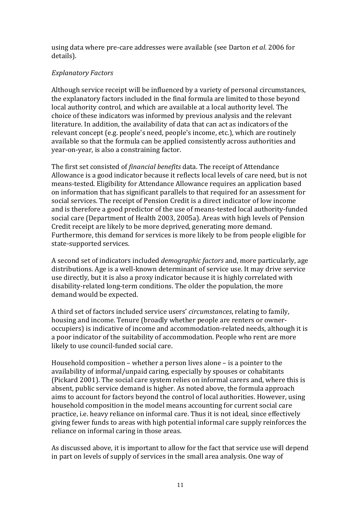using data where pre-care addresses were available (see Darton *et al*. 2006 for details).

#### *Explanatory Factors*

Although service receipt will be influenced by a variety of personal circumstances, the explanatory factors included in the final formula are limited to those beyond local authority control, and which are available at a local authority level. The choice of these indicators was informed by previous analysis and the relevant literature. In addition, the availability of data that can act as indicators of the relevant concept (e.g. people's need, people's income, etc.), which are routinely available so that the formula can be applied consistently across authorities and year-on-year, is also a constraining factor.

The first set consisted of *financial benefits* data. The receipt of Attendance Allowance is a good indicator because it reflects local levels of care need, but is not means-tested. Eligibility for Attendance Allowance requires an application based on information that has significant parallels to that required for an assessment for social services. The receipt of Pension Credit is a direct indicator of low income and is therefore a good predictor of the use of means-tested local authority-funded social care (Department of Health 2003, 2005a). Areas with high levels of Pension Credit receipt are likely to be more deprived, generating more demand. Furthermore, this demand for services is more likely to be from people eligible for state-supported services.

A second set of indicators included *demographic factors* and, more particularly, age distributions. Age is a well-known determinant of service use. It may drive service use directly, but it is also a proxy indicator because it is highly correlated with disability-related long-term conditions. The older the population, the more demand would be expected.

A third set of factors included service users' *circumstances*, relating to family, housing and income. Tenure (broadly whether people are renters or owneroccupiers) is indicative of income and accommodation-related needs, although it is a poor indicator of the suitability of accommodation. People who rent are more likely to use council-funded social care.

Household composition – whether a person lives alone – is a pointer to the availability of informal/unpaid caring, especially by spouses or cohabitants (Pickard 2001). The social care system relies on informal carers and, where this is absent, public service demand is higher. As noted above, the formula approach aims to account for factors beyond the control of local authorities. However, using household composition in the model means accounting for current social care practice, i.e. heavy reliance on informal care. Thus it is not ideal, since effectively giving fewer funds to areas with high potential informal care supply reinforces the reliance on informal caring in those areas.

As discussed above, it is important to allow for the fact that service use will depend in part on levels of supply of services in the small area analysis. One way of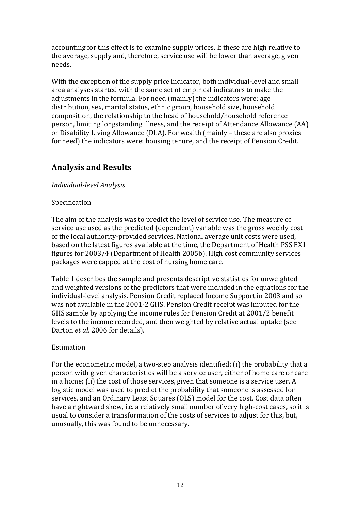accounting for this effect is to examine supply prices. If these are high relative to the average, supply and, therefore, service use will be lower than average, given needs.

With the exception of the supply price indicator, both individual-level and small area analyses started with the same set of empirical indicators to make the adjustments in the formula. For need (mainly) the indicators were: age distribution, sex, marital status, ethnic group, household size, household composition, the relationship to the head of household/household reference person, limiting longstanding illness, and the receipt of Attendance Allowance (AA) or Disability Living Allowance (DLA). For wealth (mainly – these are also proxies for need) the indicators were: housing tenure, and the receipt of Pension Credit.

## **Analysis and Results**

#### *Individual-level Analysis*

#### Specification

The aim of the analysis was to predict the level of service use. The measure of service use used as the predicted (dependent) variable was the gross weekly cost of the local authority-provided services. National average unit costs were used, based on the latest figures available at the time, the Department of Health PSS EX1 figures for 2003/4 (Department of Health 2005b). High cost community services packages were capped at the cost of nursing home care.

Table 1 describes the sample and presents descriptive statistics for unweighted and weighted versions of the predictors that were included in the equations for the individual-level analysis. Pension Credit replaced Income Support in 2003 and so was not available in the 2001-2 GHS. Pension Credit receipt was imputed for the GHS sample by applying the income rules for Pension Credit at 2001/2 benefit levels to the income recorded, and then weighted by relative actual uptake (see Darton *et al*. 2006 for details).

#### Estimation

For the econometric model, a two-step analysis identified: (i) the probability that a person with given characteristics will be a service user, either of home care or care in a home; (ii) the cost of those services, given that someone is a service user. A logistic model was used to predict the probability that someone is assessed for services, and an Ordinary Least Squares (OLS) model for the cost. Cost data often have a rightward skew, i.e. a relatively small number of very high-cost cases, so it is usual to consider a transformation of the costs of services to adjust for this, but, unusually, this was found to be unnecessary.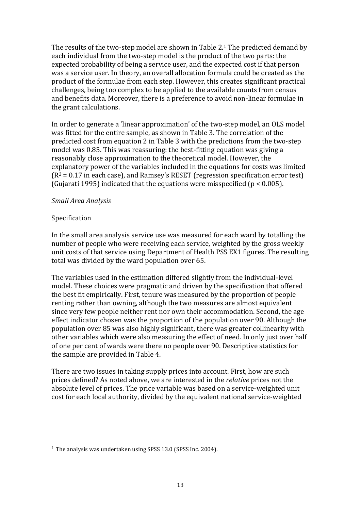The results of the two-step model are shown in Table 2.<sup>1</sup> The predicted demand by each individual from the two-step model is the product of the two parts: the expected probability of being a service user, and the expected cost if that person was a service user. In theory, an overall allocation formula could be created as the product of the formulae from each step. However, this creates significant practical challenges, being too complex to be applied to the available counts from census and benefits data. Moreover, there is a preference to avoid non-linear formulae in the grant calculations.

In order to generate a 'linear approximation' of the two-step model, an OLS model was fitted for the entire sample, as shown in Table 3. The correlation of the predicted cost from equation 2 in Table 3 with the predictions from the two-step model was 0.85. This was reassuring: the best-fitting equation was giving a reasonably close approximation to the theoretical model. However, the explanatory power of the variables included in the equations for costs was limited  $(R<sup>2</sup> = 0.17$  in each case), and Ramsey's RESET (regression specification error test) (Gujarati 1995) indicated that the equations were misspecified ( $p < 0.005$ ).

#### *Small Area Analysis*

#### Specification

 $\overline{a}$ 

In the small area analysis service use was measured for each ward by totalling the number of people who were receiving each service, weighted by the gross weekly unit costs of that service using Department of Health PSS EX1 figures. The resulting total was divided by the ward population over 65.

The variables used in the estimation differed slightly from the individual-level model. These choices were pragmatic and driven by the specification that offered the best fit empirically. First, tenure was measured by the proportion of people renting rather than owning, although the two measures are almost equivalent since very few people neither rent nor own their accommodation. Second, the age effect indicator chosen was the proportion of the population over 90. Although the population over 85 was also highly significant, there was greater collinearity with other variables which were also measuring the effect of need. In only just over half of one per cent of wards were there no people over 90. Descriptive statistics for the sample are provided in Table 4.

There are two issues in taking supply prices into account. First, how are such prices defined? As noted above, we are interested in the *relative* prices not the absolute level of prices. The price variable was based on a service-weighted unit cost for each local authority, divided by the equivalent national service-weighted

<sup>1</sup> The analysis was undertaken using SPSS 13.0 (SPSS Inc. 2004).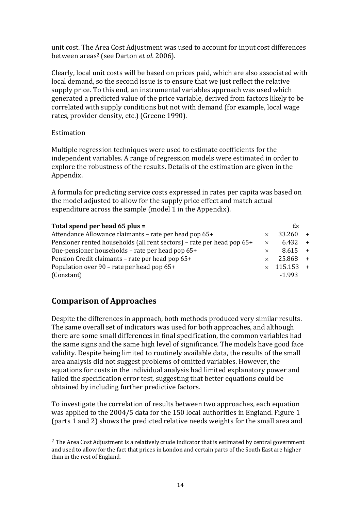unit cost. The Area Cost Adjustment was used to account for input cost differences between areas2 (see Darton *et al*. 2006).

Clearly, local unit costs will be based on prices paid, which are also associated with local demand, so the second issue is to ensure that we just reflect the relative supply price. To this end, an instrumental variables approach was used which generated a predicted value of the price variable, derived from factors likely to be correlated with supply conditions but not with demand (for example, local wage rates, provider density, etc.) (Greene 1990).

#### **Estimation**

-

Multiple regression techniques were used to estimate coefficients for the independent variables. A range of regression models were estimated in order to explore the robustness of the results. Details of the estimation are given in the Appendix.

A formula for predicting service costs expressed in rates per capita was based on the model adjusted to allow for the supply price effect and match actual expenditure across the sample (model 1 in the Appendix).

| Total spend per head 65 plus =                                         |          | £s                 |     |
|------------------------------------------------------------------------|----------|--------------------|-----|
| Attendance Allowance claimants – rate per head pop 65+                 | $\times$ | $33.260 +$         |     |
| Pensioner rented households (all rent sectors) – rate per head pop 65+ | $\times$ | 6.432              | $+$ |
| One-pensioner households – rate per head pop 65+                       | $\times$ | 8.615              | $+$ |
| Pension Credit claimants - rate per head pop 65+                       | $\times$ | $25.868 +$         |     |
| Population over 90 – rate per head pop 65+                             |          | $\times$ 115.153 + |     |
| (Constant)                                                             |          | $-1.993$           |     |

## **Comparison of Approaches**

Despite the differences in approach, both methods produced very similar results. The same overall set of indicators was used for both approaches, and although there are some small differences in final specification, the common variables had the same signs and the same high level of significance. The models have good face validity. Despite being limited to routinely available data, the results of the small area analysis did not suggest problems of omitted variables. However, the equations for costs in the individual analysis had limited explanatory power and failed the specification error test, suggesting that better equations could be obtained by including further predictive factors.

To investigate the correlation of results between two approaches, each equation was applied to the 2004/5 data for the 150 local authorities in England. Figure 1 (parts 1 and 2) shows the predicted relative needs weights for the small area and

 $<sup>2</sup>$  The Area Cost Adjustment is a relatively crude indicator that is estimated by central government</sup> and used to allow for the fact that prices in London and certain parts of the South East are higher than in the rest of England.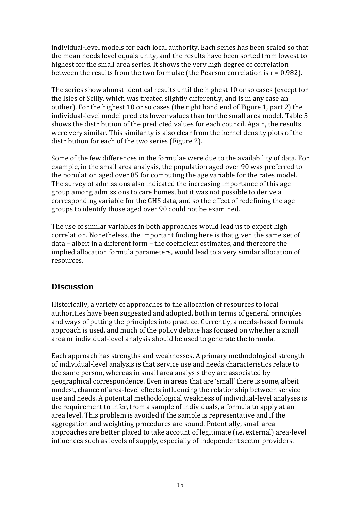individual-level models for each local authority. Each series has been scaled so that the mean needs level equals unity, and the results have been sorted from lowest to highest for the small area series. It shows the very high degree of correlation between the results from the two formulae (the Pearson correlation is  $r = 0.982$ ).

The series show almost identical results until the highest 10 or so cases (except for the Isles of Scilly, which was treated slightly differently, and is in any case an outlier). For the highest 10 or so cases (the right hand end of Figure 1, part 2) the individual-level model predicts lower values than for the small area model. Table 5 shows the distribution of the predicted values for each council. Again, the results were very similar. This similarity is also clear from the kernel density plots of the distribution for each of the two series (Figure 2).

Some of the few differences in the formulae were due to the availability of data. For example, in the small area analysis, the population aged over 90 was preferred to the population aged over 85 for computing the age variable for the rates model. The survey of admissions also indicated the increasing importance of this age group among admissions to care homes, but it was not possible to derive a corresponding variable for the GHS data, and so the effect of redefining the age groups to identify those aged over 90 could not be examined.

The use of similar variables in both approaches would lead us to expect high correlation. Nonetheless, the important finding here is that given the same set of data – albeit in a different form – the coefficient estimates, and therefore the implied allocation formula parameters, would lead to a very similar allocation of resources.

## **Discussion**

Historically, a variety of approaches to the allocation of resources to local authorities have been suggested and adopted, both in terms of general principles and ways of putting the principles into practice. Currently, a needs-based formula approach is used, and much of the policy debate has focused on whether a small area or individual-level analysis should be used to generate the formula.

Each approach has strengths and weaknesses. A primary methodological strength of individual-level analysis is that service use and needs characteristics relate to the same person, whereas in small area analysis they are associated by geographical correspondence. Even in areas that are 'small' there is some, albeit modest, chance of area-level effects influencing the relationship between service use and needs. A potential methodological weakness of individual-level analyses is the requirement to infer, from a sample of individuals, a formula to apply at an area level. This problem is avoided if the sample is representative and if the aggregation and weighting procedures are sound. Potentially, small area approaches are better placed to take account of legitimate (i.e. external) area-level influences such as levels of supply, especially of independent sector providers.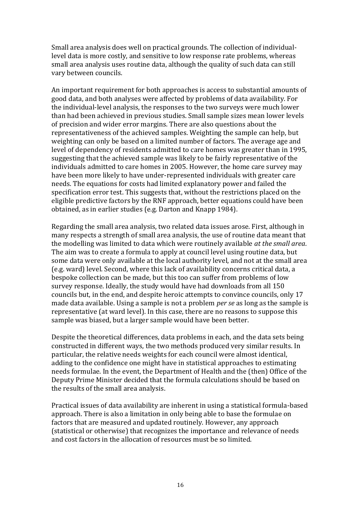Small area analysis does well on practical grounds. The collection of individuallevel data is more costly, and sensitive to low response rate problems, whereas small area analysis uses routine data, although the quality of such data can still vary between councils.

An important requirement for both approaches is access to substantial amounts of good data, and both analyses were affected by problems of data availability. For the individual-level analysis, the responses to the two surveys were much lower than had been achieved in previous studies. Small sample sizes mean lower levels of precision and wider error margins. There are also questions about the representativeness of the achieved samples. Weighting the sample can help, but weighting can only be based on a limited number of factors. The average age and level of dependency of residents admitted to care homes was greater than in 1995, suggesting that the achieved sample was likely to be fairly representative of the individuals admitted to care homes in 2005. However, the home care survey may have been more likely to have under-represented individuals with greater care needs. The equations for costs had limited explanatory power and failed the specification error test. This suggests that, without the restrictions placed on the eligible predictive factors by the RNF approach, better equations could have been obtained, as in earlier studies (e.g. Darton and Knapp 1984).

Regarding the small area analysis, two related data issues arose. First, although in many respects a strength of small area analysis, the use of routine data meant that the modelling was limited to data which were routinely available *at the small area*. The aim was to create a formula to apply at council level using routine data, but some data were only available at the local authority level, and not at the small area (e.g. ward) level. Second, where this lack of availability concerns critical data, a bespoke collection can be made, but this too can suffer from problems of low survey response. Ideally, the study would have had downloads from all 150 councils but, in the end, and despite heroic attempts to convince councils, only 17 made data available. Using a sample is not a problem *per se* as long as the sample is representative (at ward level). In this case, there are no reasons to suppose this sample was biased, but a larger sample would have been better.

Despite the theoretical differences, data problems in each, and the data sets being constructed in different ways, the two methods produced very similar results. In particular, the relative needs weights for each council were almost identical, adding to the confidence one might have in statistical approaches to estimating needs formulae. In the event, the Department of Health and the (then) Office of the Deputy Prime Minister decided that the formula calculations should be based on the results of the small area analysis.

Practical issues of data availability are inherent in using a statistical formula-based approach. There is also a limitation in only being able to base the formulae on factors that are measured and updated routinely. However, any approach (statistical or otherwise) that recognizes the importance and relevance of needs and cost factors in the allocation of resources must be so limited.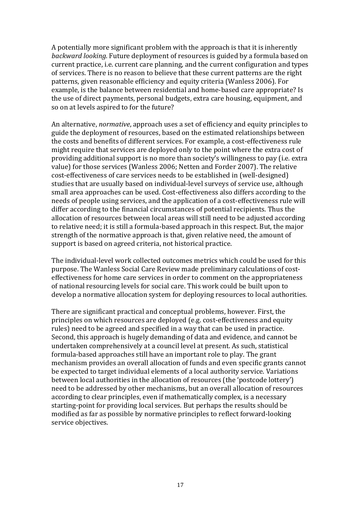A potentially more significant problem with the approach is that it is inherently *backward looking*. Future deployment of resources is guided by a formula based on current practice, i.e. current care planning, and the current configuration and types of services. There is no reason to believe that these current patterns are the right patterns, given reasonable efficiency and equity criteria (Wanless 2006). For example, is the balance between residential and home-based care appropriate? Is the use of direct payments, personal budgets, extra care housing, equipment, and so on at levels aspired to for the future?

An alternative, *normative*, approach uses a set of efficiency and equity principles to guide the deployment of resources, based on the estimated relationships between the costs and benefits of different services. For example, a cost-effectiveness rule might require that services are deployed only to the point where the extra cost of providing additional support is no more than society's willingness to pay (i.e. extra value) for those services (Wanless 2006; Netten and Forder 2007). The relative cost-effectiveness of care services needs to be established in (well-designed) studies that are usually based on individual-level surveys of service use, although small area approaches can be used. Cost-effectiveness also differs according to the needs of people using services, and the application of a cost-effectiveness rule will differ according to the financial circumstances of potential recipients. Thus the allocation of resources between local areas will still need to be adjusted according to relative need; it is still a formula-based approach in this respect. But, the major strength of the normative approach is that, given relative need, the amount of support is based on agreed criteria, not historical practice.

The individual-level work collected outcomes metrics which could be used for this purpose. The Wanless Social Care Review made preliminary calculations of costeffectiveness for home care services in order to comment on the appropriateness of national resourcing levels for social care. This work could be built upon to develop a normative allocation system for deploying resources to local authorities.

There are significant practical and conceptual problems, however. First, the principles on which resources are deployed (e.g. cost-effectiveness and equity rules) need to be agreed and specified in a way that can be used in practice. Second, this approach is hugely demanding of data and evidence, and cannot be undertaken comprehensively at a council level at present. As such, statistical formula-based approaches still have an important role to play. The grant mechanism provides an overall allocation of funds and even specific grants cannot be expected to target individual elements of a local authority service. Variations between local authorities in the allocation of resources (the 'postcode lottery') need to be addressed by other mechanisms, but an overall allocation of resources according to clear principles, even if mathematically complex, is a necessary starting-point for providing local services. But perhaps the results should be modified as far as possible by normative principles to reflect forward-looking service objectives.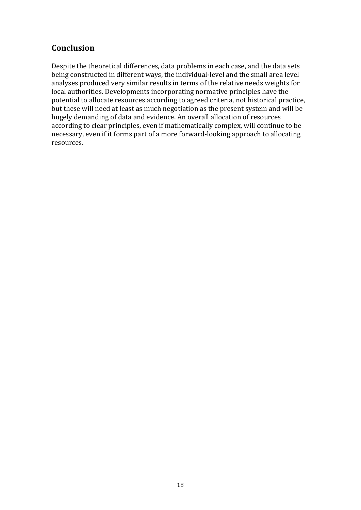## **Conclusion**

Despite the theoretical differences, data problems in each case, and the data sets being constructed in different ways, the individual-level and the small area level analyses produced very similar results in terms of the relative needs weights for local authorities. Developments incorporating normative principles have the potential to allocate resources according to agreed criteria, not historical practice, but these will need at least as much negotiation as the present system and will be hugely demanding of data and evidence. An overall allocation of resources according to clear principles, even if mathematically complex, will continue to be necessary, even if it forms part of a more forward-looking approach to allocating resources.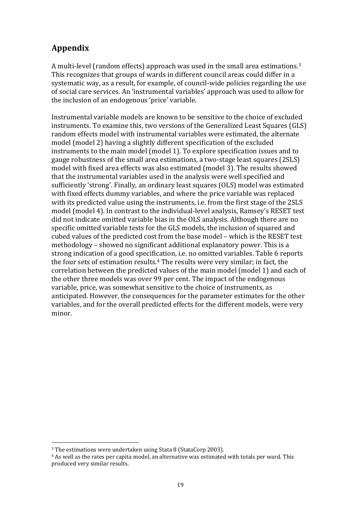## **Appendix**

A multi-level (random effects) approach was used in the small area estimations.<sup>3</sup> This recognizes that groups of wards in different council areas could differ in a systematic way, as a result, for example, of council-wide policies regarding the use of social care services. An 'instrumental variables' approach was used to allow for the inclusion of an endogenous 'price' variable.

Instrumental variable models are known to be sensitive to the choice of excluded instruments. To examine this, two versions of the Generalized Least Squares (GLS) random effects model with instrumental variables were estimated, the alternate model (model 2) having a slightly different specification of the excluded instruments to the main model (model 1). To explore specification issues and to gauge robustness of the small area estimations, a two-stage least squares (2SLS) model with fixed area effects was also estimated (model 3). The results showed that the instrumental variables used in the analysis were well specified and sufficiently 'strong'. Finally, an ordinary least squares (OLS) model was estimated with fixed effects dummy variables, and where the price variable was replaced with its predicted value using the instruments, i.e. from the first stage of the 2SLS model (model 4). In contrast to the individual-level analysis, Ramsey's RESET test did not indicate omitted variable bias in the OLS analysis. Although there are no specific omitted variable tests for the GLS models, the inclusion of squared and cubed values of the predicted cost from the base model - which is the RESET test methodology ‒ showed no significant additional explanatory power. This is a strong indication of a good specification, i.e. no omitted variables. Table 6 reports the four sets of estimation results.<sup>4</sup> The results were very similar; in fact, the correlation between the predicted values of the main model (model 1) and each of the other three models was over 99 per cent. The impact of the endogenous variable, price, was somewhat sensitive to the choice of instruments, as anticipated. However, the consequences for the parameter estimates for the other variables, and for the overall predicted effects for the different models, were very minor.

 $\overline{a}$ 

<sup>3</sup> The estimations were undertaken using Stata 8 (StataCorp 2003).

<sup>4</sup> As well as the rates per capita model, an alternative was estimated with totals per ward. This produced very similar results.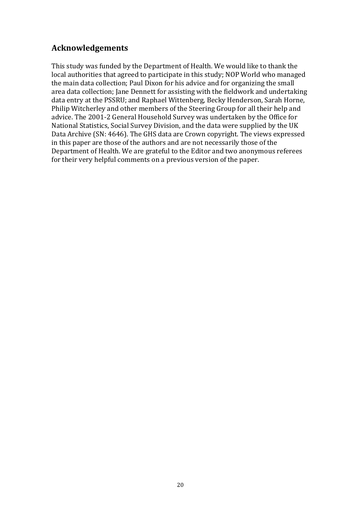## **Acknowledgements**

This study was funded by the Department of Health. We would like to thank the local authorities that agreed to participate in this study; NOP World who managed the main data collection; Paul Dixon for his advice and for organizing the small area data collection; Jane Dennett for assisting with the fieldwork and undertaking data entry at the PSSRU; and Raphael Wittenberg, Becky Henderson, Sarah Horne, Philip Witcherley and other members of the Steering Group for all their help and advice. The 2001-2 General Household Survey was undertaken by the Office for National Statistics, Social Survey Division, and the data were supplied by the UK Data Archive (SN: 4646). The GHS data are Crown copyright. The views expressed in this paper are those of the authors and are not necessarily those of the Department of Health. We are grateful to the Editor and two anonymous referees for their very helpful comments on a previous version of the paper.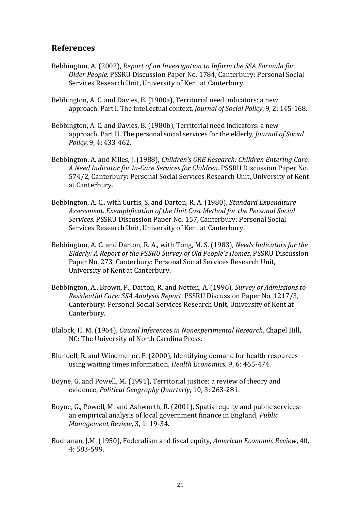#### **References**

- Bebbington, A. (2002), *Report of an Investigation to Inform the SSA Formula for Older People*. PSSRU Discussion Paper No. 1784, Canterbury: Personal Social Services Research Unit, University of Kent at Canterbury.
- Bebbington, A. C. and Davies, B. (1980a), Territorial need indicators: a new approach. Part I. The intellectual context, *Journal of Social Policy*, 9, 2: 145-168.
- Bebbington, A. C. and Davies, B. (1980b), Territorial need indicators: a new approach. Part II. The personal social services for the elderly, *Journal of Social Policy*, 9, 4: 433-462.
- Bebbington, A. and Miles, J. (1988), *Children's GRE Research: Children Entering Care. A Need Indicator for In-Care Services for Children*. PSSRU Discussion Paper No. 574/2, Canterbury: Personal Social Services Research Unit, University of Kent at Canterbury.
- Bebbington, A. C., with Curtis, S. and Darton, R. A. (1980), *Standard Expenditure Assessment. Exemplification of the Unit Cost Method for the Personal Social Services*. PSSRU Discussion Paper No. 157, Canterbury: Personal Social Services Research Unit, University of Kent at Canterbury.
- Bebbington, A. C. and Darton, R. A., with Tong, M. S. (1983), *Needs Indicators for the Elderly: A Report of the PSSRU Survey of Old People's Homes*. PSSRU Discussion Paper No. 273, Canterbury: Personal Social Services Research Unit, University of Kent at Canterbury.
- Bebbington, A., Brown, P., Darton, R. and Netten, A. (1996), *Survey of Admissions to Residential Care: SSA Analysis Report*. PSSRU Discussion Paper No. 1217/3, Canterbury: Personal Social Services Research Unit, University of Kent at Canterbury.
- Blalock, H. M. (1964), *Causal Inferences in Nonexperimental Research*, Chapel Hill, NC: The University of North Carolina Press.
- Blundell, R. and Windmeijer, F. (2000), Identifying demand for health resources using waiting times information, *Health Economics,* 9, 6: 465-474.
- Boyne, G. and Powell, M. (1991), Territorial justice: a review of theory and evidence, *Political Geography Quarterly*, 10, 3: 263-281.
- Boyne, G., Powell, M. and Ashworth, R. (2001), Spatial equity and public services: an empirical analysis of local government finance in England, *Public Management Review*, 3, 1: 19-34.
- Buchanan, J.M. (1950), Federalism and fiscal equity, *American Economic Review*, 40, 4: 583-599.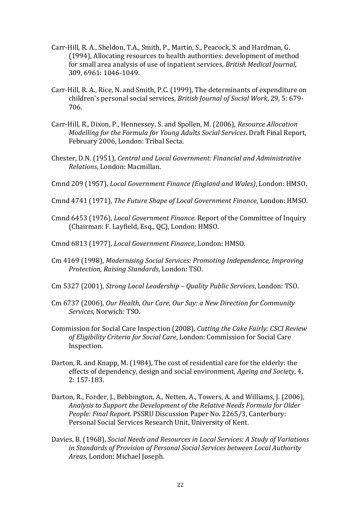- Carr-Hill, R. A., Sheldon, T.A., Smith, P., Martin, S., Peacock, S. and Hardman, G. (1994), Allocating resources to health authorities: development of method for small area analysis of use of inpatient services, *British Medical Journal*, 309, 6961: 1046-1049.
- Carr-Hill, R. A., Rice, N. and Smith, P.C. (1999), The determinants of expenditure on children's personal social services, *British Journal of Social Work*, 29, 5: 679- 706.
- Carr-Hill, R., Dixon, P., Hennessey, S. and Spollen, M. (2006), *Resource Allocation Modelling for the Formula for Young Adults Social Services*. Draft Final Report, February 2006, London: Tribal Secta.
- Chester, D.N. (1951), *Central and Local Government: Financial and Administrative Relations*, London: Macmillan.
- Cmnd 209 (1957), *Local Government Finance (England and Wales)*, London: HMSO.
- Cmnd 4741 (1971), *The Future Shape of Local Government Finance*, London: HMSO.
- Cmnd 6453 (1976), *Local Government Finance*. Report of the Committee of Inquiry (Chairman: F. Layfield, Esq., QC), London: HMSO.
- Cmnd 6813 (1977), *Local Government Finance*, London: HMSO.
- Cm 4169 (1998), *Modernising Social Services: Promoting Independence, Improving Protection, Raising Standards*, London: TSO.
- Cm 5327 (2001), *Strong Local Leadership ‒ Quality Public Services*, London: TSO.
- Cm 6737 (2006), *Our Health, Our Care, Our Say: a New Direction for Community Services*, Norwich: TSO.
- Commission for Social Care Inspection (2008), *Cutting the Cake Fairly: CSCI Review of Eligibility Criteria for Social Care*, London: Commission for Social Care Inspection.
- Darton, R. and Knapp, M. (1984), The cost of residential care for the elderly: the effects of dependency, design and social environment, *Ageing and Society*, 4, 2: 157-183.
- Darton, R., Forder, J., Bebbington, A., Netten, A., Towers, A. and Williams, J. (2006), *Analysis to Support the Development of the Relative Needs Formula for Older People: Final Report*. PSSRU Discussion Paper No. 2265/3, Canterbury: Personal Social Services Research Unit, University of Kent.
- Davies, B. (1968), *Social Needs and Resources in Local Services: A Study of Variations in Standards of Provision of Personal Social Services between Local Authority Areas*, London: Michael Joseph.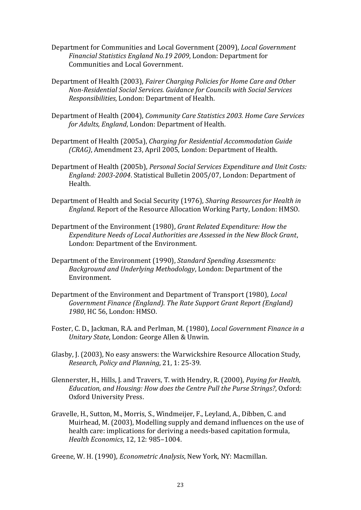- Department for Communities and Local Government (2009), *Local Government Financial Statistics England No.19 2009*, London: Department for Communities and Local Government.
- Department of Health (2003), *Fairer Charging Policies for Home Care and Other Non-Residential Social Services. Guidance for Councils with Social Services Responsibilities*, London: Department of Health.
- Department of Health (2004), *Community Care Statistics 2003. Home Care Services for Adults, England*, London: Department of Health.
- Department of Health (2005a), *Charging for Residential Accommodation Guide (CRAG)*, Amendment 23, April 2005, London: Department of Health.
- Department of Health (2005b), *Personal Social Services Expenditure and Unit Costs: England: 2003-2004*. Statistical Bulletin 2005/07, London: Department of Health.
- Department of Health and Social Security (1976), *Sharing Resources for Health in England*. Report of the Resource Allocation Working Party, London: HMSO.
- Department of the Environment (1980), *Grant Related Expenditure: How the Expenditure Needs of Local Authorities are Assessed in the New Block Grant*, London: Department of the Environment.
- Department of the Environment (1990), *Standard Spending Assessments: Background and Underlying Methodology*, London: Department of the Environment.
- Department of the Environment and Department of Transport (1980), *Local Government Finance (England). The Rate Support Grant Report (England) 1980*, HC 56, London: HMSO.
- Foster, C. D., Jackman, R.A. and Perlman, M. (1980), *Local Government Finance in a Unitary State*, London: George Allen & Unwin.
- Glasby, J. (2003), No easy answers: the Warwickshire Resource Allocation Study, *Research, Policy and Planning*, 21, 1: 25-39.
- Glennerster, H., Hills, J. and Travers, T. with Hendry, R. (2000), *Paying for Health, Education, and Housing: How does the Centre Pull the Purse Strings?*, Oxford: Oxford University Press.
- Gravelle, H., Sutton, M., Morris, S., Windmeijer, F., Leyland, A., Dibben, C. and Muirhead, M. (2003), Modelling supply and demand influences on the use of health care: implications for deriving a needs-based capitation formula, *Health Economics*, 12, 12: 985-1004.

Greene, W. H. (1990), *Econometric Analysis*, New York, NY: Macmillan.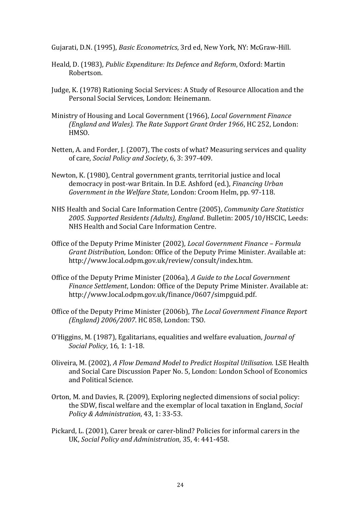- Gujarati, D.N. (1995), *Basic Econometrics*, 3rd ed, New York, NY: McGraw-Hill.
- Heald, D. (1983), *Public Expenditure: Its Defence and Reform*, Oxford: Martin Robertson.
- Judge, K. (1978) Rationing Social Services: A Study of Resource Allocation and the Personal Social Services, London: Heinemann.
- Ministry of Housing and Local Government (1966), *Local Government Finance (England and Wales). The Rate Support Grant Order 1966*, HC 252, London: HMSO.
- Netten, A. and Forder, J. (2007), The costs of what? Measuring services and quality of care, *Social Policy and Society*, 6, 3: 397-409.
- Newton, K. (1980), Central government grants, territorial justice and local democracy in post-war Britain. In D.E. Ashford (ed.), *Financing Urban Government in the Welfare State*, London: Croom Helm, pp. 97-118.
- NHS Health and Social Care Information Centre (2005), *Community Care Statistics 2005. Supported Residents (Adults), England*. Bulletin: 2005/10/HSCIC, Leeds: NHS Health and Social Care Information Centre.
- Office of the Deputy Prime Minister (2002), *Local Government Finance ‒ Formula Grant Distribution*, London: Office of the Deputy Prime Minister. Available at: http://www.local.odpm.gov.uk/review/consult/index.htm.
- Office of the Deputy Prime Minister (2006a), *A Guide to the Local Government Finance Settlement*, London: Office of the Deputy Prime Minister. Available at: http://www.local.odpm.gov.uk/finance/0607/simpguid.pdf.
- Office of the Deputy Prime Minister (2006b), *The Local Government Finance Report (England) 2006/2007*. HC 858, London: TSO.
- O'Higgins, M. (1987), Egalitarians, equalities and welfare evaluation, *Journal of Social Policy*, 16, 1: 1-18.
- Oliveira, M. (2002), *A Flow Demand Model to Predict Hospital Utilisation.* LSE Health and Social Care Discussion Paper No. 5, London: London School of Economics and Political Science.
- Orton, M. and Davies, R. (2009), Exploring neglected dimensions of social policy: the SDW, fiscal welfare and the exemplar of local taxation in England, *Social Policy & Administration*, 43, 1: 33-53.
- Pickard, L. (2001), Carer break or carer-blind? Policies for informal carers in the UK, *Social Policy and Administration*, 35, 4: 441-458.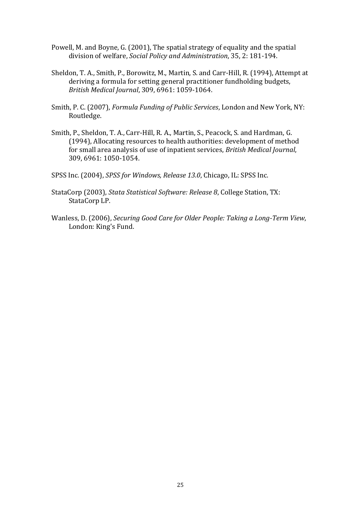- Powell, M. and Boyne, G. (2001), The spatial strategy of equality and the spatial division of welfare, *Social Policy and Administration*, 35, 2: 181-194.
- Sheldon, T. A., Smith, P., Borowitz, M., Martin, S. and Carr-Hill, R. (1994), Attempt at deriving a formula for setting general practitioner fundholding budgets, *British Medical Journal*, 309, 6961: 1059-1064.
- Smith, P. C. (2007), *Formula Funding of Public Services*, London and New York, NY: Routledge.
- Smith, P., Sheldon, T. A., Carr-Hill, R. A., Martin, S., Peacock, S. and Hardman, G. (1994), Allocating resources to health authorities: development of method for small area analysis of use of inpatient services, *British Medical Journal*, 309, 6961: 1050-1054.
- SPSS Inc. (2004), *SPSS for Windows, Release 13.0*, Chicago, IL: SPSS Inc.
- StataCorp (2003), *Stata Statistical Software: Release 8*, College Station, TX: StataCorp LP.
- Wanless, D. (2006), *Securing Good Care for Older People: Taking a Long-Term View*, London: King's Fund.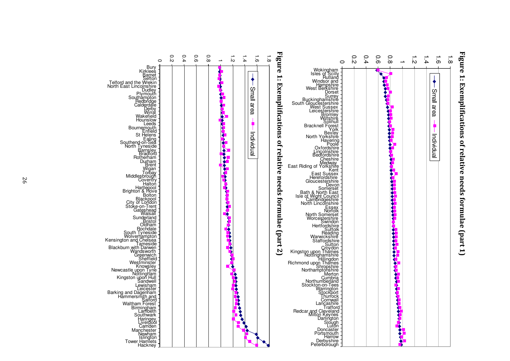





26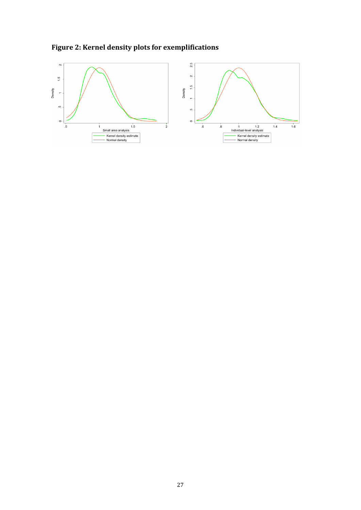

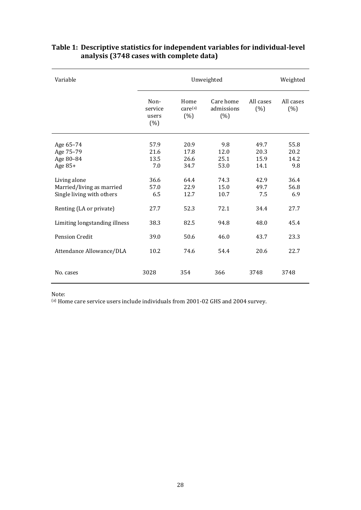| Variable                                                               |                                 | Weighted                           |                                |                              |                             |
|------------------------------------------------------------------------|---------------------------------|------------------------------------|--------------------------------|------------------------------|-----------------------------|
|                                                                        | Non-<br>service<br>users<br>(%) | Home<br>care <sup>(a)</sup><br>(%) | Care home<br>admissions<br>(%) | All cases<br>(%)             | All cases<br>(%)            |
| Age 65-74<br>Age 75-79<br>Age 80-84<br>Age 85+                         | 57.9<br>21.6<br>13.5<br>7.0     | 20.9<br>17.8<br>26.6<br>34.7       | 9.8<br>12.0<br>25.1<br>53.0    | 49.7<br>20.3<br>15.9<br>14.1 | 55.8<br>20.2<br>14.2<br>9.8 |
| Living alone<br>Married/living as married<br>Single living with others | 36.6<br>57.0<br>6.5             | 64.4<br>22.9<br>12.7               | 74.3<br>15.0<br>10.7           | 42.9<br>49.7<br>7.5          | 36.4<br>56.8<br>6.9         |
| Renting (LA or private)                                                | 27.7                            | 52.3                               | 72.1                           | 34.4                         | 27.7                        |
| Limiting longstanding illness<br>Pension Credit                        | 38.3<br>39.0                    | 82.5<br>50.6                       | 94.8<br>46.0                   | 48.0<br>43.7                 | 45.4<br>23.3                |
| Attendance Allowance/DLA                                               | 10.2                            | 74.6                               | 54.4                           | 20.6                         | 22.7                        |
| No. cases                                                              | 3028                            | 354                                | 366                            | 3748                         | 3748                        |

#### **Table 1: Descriptive statistics for independent variables for individual-level analysis (3748 cases with complete data)**

Note:

(a) Home care service users include individuals from 2001-02 GHS and 2004 survey.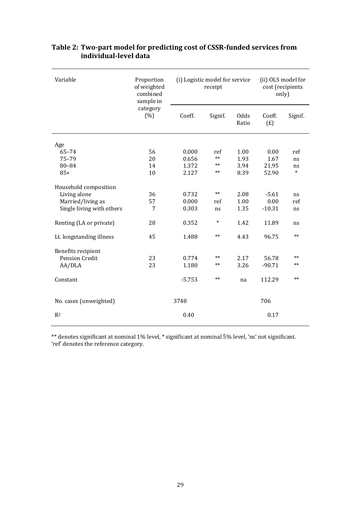| Variable                  | Proportion<br>of weighted<br>combined<br>sample in |          | (i) Logistic model for service<br>receipt | (ii) OLS model for<br>cost (recipients<br>only) |               |         |
|---------------------------|----------------------------------------------------|----------|-------------------------------------------|-------------------------------------------------|---------------|---------|
|                           | category<br>(%)                                    | Coeff.   | Signif.                                   | Odds<br>Ratio                                   | Coeff.<br>(E) | Signif. |
| Age                       |                                                    |          |                                           |                                                 |               |         |
| $65 - 74$                 | 56                                                 | 0.000    | ref                                       | 1.00                                            | 0.00          | ref     |
| $75 - 79$                 | 20                                                 | 0.656    | $**$                                      | 1.93                                            | 1.67          | ns      |
| 80-84                     | 14                                                 | 1.372    | $**$                                      | 3.94                                            | 21.95         | ns      |
| $85+$                     | 10                                                 | 2.127    | $\ast\ast$                                | 8.39                                            | 52.90         | $\ast$  |
| Household composition     |                                                    |          |                                           |                                                 |               |         |
| Living alone              | 36                                                 | 0.732    | $**$                                      | 2.08                                            | $-5.61$       | ns      |
| Married/living as         | 57                                                 | 0.000    | ref                                       | 1.00                                            | 0.00          | ref     |
| Single living with others | 7                                                  | 0.303    | ns                                        | 1.35                                            | $-10.31$      | ns      |
| Renting (LA or private)   | 28                                                 | 0.352    | $\ast$                                    | 1.42                                            | 11.89         | ns      |
| Lt. longstanding illness  | 45                                                 | 1.488    | $**$                                      | 4.43                                            | 96.75         | $**$    |
| Benefits recipient        |                                                    |          |                                           |                                                 |               |         |
| <b>Pension Credit</b>     | 23                                                 | 0.774    | $**$                                      | 2.17                                            | 56.78         | $**$    |
| AA/DLA                    | 23                                                 | 1.180    | **                                        | 3.26                                            | $-90.71$      | $**$    |
| Constant                  |                                                    | $-5.753$ | $**$                                      | na                                              | 112.29        | $**$    |
| No. cases (unweighted)    |                                                    | 3748     |                                           |                                                 | 706           |         |
| R <sup>2</sup>            |                                                    | 0.40     |                                           |                                                 | 0.17          |         |

#### **Table 2: Two-part model for predicting cost of CSSR-funded services from individual-level data**

\*\* denotes significant at nominal 1% level, \* significant at nominal 5% level, 'ns' not significant. 'ref' denotes the reference category.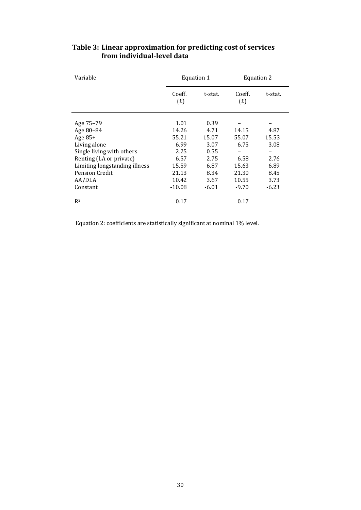| Variable                      | <b>Equation 1</b> |         | Equation 2    |         |  |
|-------------------------------|-------------------|---------|---------------|---------|--|
|                               | Coeff.<br>(E)     | t-stat. | Coeff.<br>(E) | t-stat. |  |
|                               | 1.01              | 0.39    |               |         |  |
| Age 75–79<br>Age 80-84        | 14.26             | 4.71    | 14.15         | 4.87    |  |
| Age $85+$                     | 55.21             | 15.07   | 55.07         | 15.53   |  |
| Living alone                  | 6.99              | 3.07    | 6.75          | 3.08    |  |
| Single living with others     | 2.25              | 0.55    | —             |         |  |
| Renting (LA or private)       | 6.57              | 2.75    | 6.58          | 2.76    |  |
| Limiting longstanding illness | 15.59             | 6.87    | 15.63         | 6.89    |  |
| Pension Credit                | 21.13             | 8.34    | 21.30         | 8.45    |  |
| AA/DLA                        | 10.42             | 3.67    | 10.55         | 3.73    |  |
| Constant                      | $-10.08$          | $-6.01$ | $-9.70$       | $-6.23$ |  |
|                               |                   |         |               |         |  |
| $R^2$                         | 0.17              |         | 0.17          |         |  |

#### **Table 3: Linear approximation for predicting cost of services from individual-level data**

Equation 2: coefficients are statistically significant at nominal 1% level.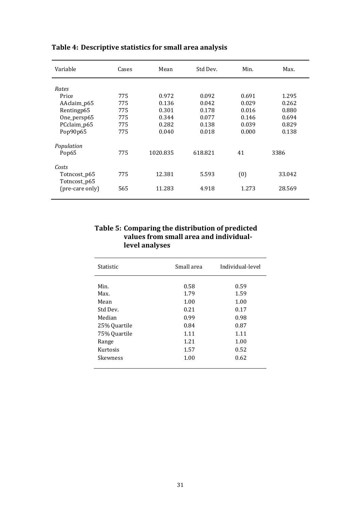| Variable        | Cases | Mean     | Std Dev. | Min.  | Max.   |
|-----------------|-------|----------|----------|-------|--------|
| Rates           |       |          |          |       |        |
| Price           | 775   | 0.972    | 0.092    | 0.691 | 1.295  |
| AAclaim_p65     | 775   | 0.136    | 0.042    | 0.029 | 0.262  |
| Rentingp65      | 775   | 0.301    | 0.178    | 0.016 | 0.880  |
| One_persp65     | 775   | 0.344    | 0.077    | 0.146 | 0.694  |
| PCclaim_p65     | 775   | 0.282    | 0.138    | 0.039 | 0.829  |
| Pop90p65        | 775   | 0.040    | 0.018    | 0.000 | 0.138  |
| Population      |       |          |          |       |        |
| Pop65           | 775   | 1020.835 | 618.821  | 41    | 3386   |
| Costs           |       |          |          |       |        |
| Totncost_p65    | 775   | 12.381   | 5.593    | (0)   | 33.042 |
| Totncost_p65    |       |          |          |       |        |
| (pre-care only) | 565   | 11.283   | 4.918    | 1.273 | 28.569 |
|                 |       |          |          |       |        |

## **Table 4: Descriptive statistics for small area analysis**

#### **Table 5: Comparing the distribution of predicted values from small area and individuallevel analyses**

| Statistic    | Small area | Individual-level |  |  |  |
|--------------|------------|------------------|--|--|--|
|              |            |                  |  |  |  |
| Min.         | 0.58       | 0.59             |  |  |  |
| Max.         | 1.79       | 1.59             |  |  |  |
| Mean         | 1.00       | 1.00             |  |  |  |
| Std Dev.     | 0.21       | 0.17             |  |  |  |
| Median       | 0.99       | 0.98             |  |  |  |
| 25% Quartile | 0.84       | 0.87             |  |  |  |
| 75% Quartile | 1.11       | 1.11             |  |  |  |
| Range        | 1.21       | 1.00             |  |  |  |
| Kurtosis     | 1.57       | 0.52             |  |  |  |
| Skewness     | 1.00       | 0.62             |  |  |  |
|              |            |                  |  |  |  |